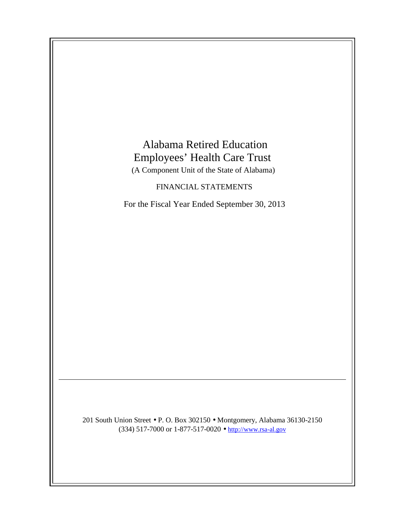# Alabama Retired Education Employees' Health Care Trust

(A Component Unit of the State of Alabama)

## FINANCIAL STATEMENTS

For the Fiscal Year Ended September 30, 2013

201 South Union Street • P. O. Box 302150 • Montgomery, Alabama 36130-2150 (334) 517-7000 or 1-877-517-0020 • http://www.rsa-al.gov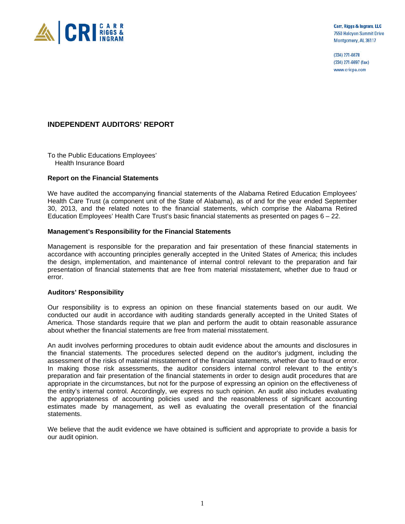

Carr, Riggs & Ingram, LLC 7550 Halcyon Summit Drive Montgomery, AL 36117

(334) 271-6678 (334) 271-6697 (fax) www.cricpa.com

#### **INDEPENDENT AUDITORS' REPORT**

To the Public Educations Employees' Health Insurance Board

#### **Report on the Financial Statements**

We have audited the accompanying financial statements of the Alabama Retired Education Employees' Health Care Trust (a component unit of the State of Alabama), as of and for the year ended September 30, 2013, and the related notes to the financial statements, which comprise the Alabama Retired Education Employees' Health Care Trust's basic financial statements as presented on pages 6 – 22.

#### **Management's Responsibility for the Financial Statements**

Management is responsible for the preparation and fair presentation of these financial statements in accordance with accounting principles generally accepted in the United States of America; this includes the design, implementation, and maintenance of internal control relevant to the preparation and fair presentation of financial statements that are free from material misstatement, whether due to fraud or error.

#### **Auditors' Responsibility**

Our responsibility is to express an opinion on these financial statements based on our audit. We conducted our audit in accordance with auditing standards generally accepted in the United States of America. Those standards require that we plan and perform the audit to obtain reasonable assurance about whether the financial statements are free from material misstatement.

An audit involves performing procedures to obtain audit evidence about the amounts and disclosures in the financial statements. The procedures selected depend on the auditor's judgment, including the assessment of the risks of material misstatement of the financial statements, whether due to fraud or error. In making those risk assessments, the auditor considers internal control relevant to the entity's preparation and fair presentation of the financial statements in order to design audit procedures that are appropriate in the circumstances, but not for the purpose of expressing an opinion on the effectiveness of the entity's internal control. Accordingly, we express no such opinion. An audit also includes evaluating the appropriateness of accounting policies used and the reasonableness of significant accounting estimates made by management, as well as evaluating the overall presentation of the financial statements.

We believe that the audit evidence we have obtained is sufficient and appropriate to provide a basis for our audit opinion.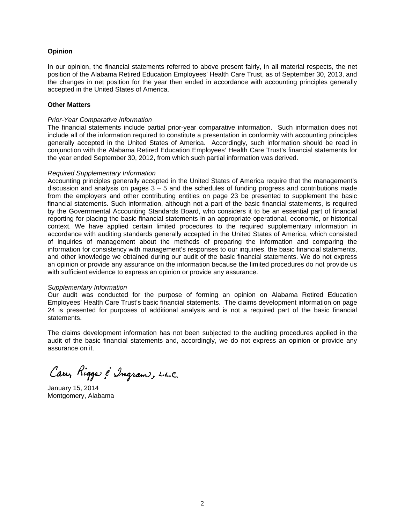#### **Opinion**

In our opinion, the financial statements referred to above present fairly, in all material respects, the net position of the Alabama Retired Education Employees' Health Care Trust, as of September 30, 2013, and the changes in net position for the year then ended in accordance with accounting principles generally accepted in the United States of America.

#### **Other Matters**

#### *Prior-Year Comparative Information*

The financial statements include partial prior-year comparative information. Such information does not include all of the information required to constitute a presentation in conformity with accounting principles generally accepted in the United States of America. Accordingly, such information should be read in conjunction with the Alabama Retired Education Employees' Health Care Trust's financial statements for the year ended September 30, 2012, from which such partial information was derived.

#### *Required Supplementary Information*

Accounting principles generally accepted in the United States of America require that the management's discussion and analysis on pages  $3 - 5$  and the schedules of funding progress and contributions made from the employers and other contributing entities on page 23 be presented to supplement the basic financial statements. Such information, although not a part of the basic financial statements, is required by the Governmental Accounting Standards Board, who considers it to be an essential part of financial reporting for placing the basic financial statements in an appropriate operational, economic, or historical context. We have applied certain limited procedures to the required supplementary information in accordance with auditing standards generally accepted in the United States of America, which consisted of inquiries of management about the methods of preparing the information and comparing the information for consistency with management's responses to our inquiries, the basic financial statements, and other knowledge we obtained during our audit of the basic financial statements. We do not express an opinion or provide any assurance on the information because the limited procedures do not provide us with sufficient evidence to express an opinion or provide any assurance.

#### *Supplementary Information*

Our audit was conducted for the purpose of forming an opinion on Alabama Retired Education Employees' Health Care Trust's basic financial statements. The claims development information on page 24 is presented for purposes of additional analysis and is not a required part of the basic financial statements.

The claims development information has not been subjected to the auditing procedures applied in the audit of the basic financial statements and, accordingly, we do not express an opinion or provide any assurance on it.

Carr, Rigger & Ingram, L.L.C.

January 15, 2014 Montgomery, Alabama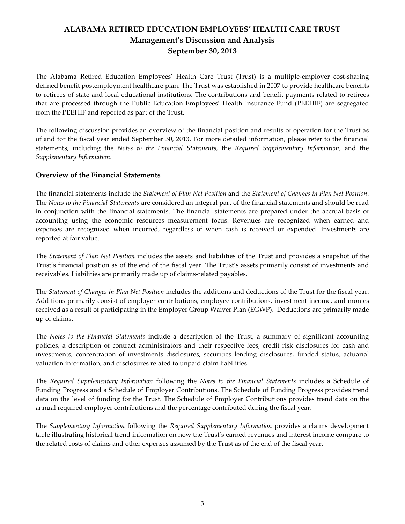# ALABAMA RETIRED EDUCATION EMPLOYEES' HEALTH CARE TRUST Management's Discussion and Analysis September 30, 2013

The Alabama Retired Education Employees' Health Care Trust (Trust) is a multiple-employer cost-sharing defined benefit postemployment healthcare plan. The Trust was established in 2007 to provide healthcare benefits to retirees of state and local educational institutions. The contributions and benefit payments related to retirees that are processed through the Public Education Employees' Health Insurance Fund (PEEHIF) are segregated from the PEEHIF and reported as part of the Trust.

The following discussion provides an overview of the financial position and results of operation for the Trust as of and for the fiscal year ended September 30, 2013. For more detailed information, please refer to the financial statements, including the Notes to the Financial Statements, the Required Supplementary Information, and the Supplementary Information.

#### Overview of the Financial Statements

The financial statements include the Statement of Plan Net Position and the Statement of Changes in Plan Net Position. The Notes to the Financial Statements are considered an integral part of the financial statements and should be read in conjunction with the financial statements. The financial statements are prepared under the accrual basis of accounting using the economic resources measurement focus. Revenues are recognized when earned and expenses are recognized when incurred, regardless of when cash is received or expended. Investments are reported at fair value.

The Statement of Plan Net Position includes the assets and liabilities of the Trust and provides a snapshot of the Trust's financial position as of the end of the fiscal year. The Trust's assets primarily consist of investments and receivables. Liabilities are primarily made up of claims-related payables.

The Statement of Changes in Plan Net Position includes the additions and deductions of the Trust for the fiscal year. Additions primarily consist of employer contributions, employee contributions, investment income, and monies received as a result of participating in the Employer Group Waiver Plan (EGWP). Deductions are primarily made up of claims.

The Notes to the Financial Statements include a description of the Trust, a summary of significant accounting policies, a description of contract administrators and their respective fees, credit risk disclosures for cash and investments, concentration of investments disclosures, securities lending disclosures, funded status, actuarial valuation information, and disclosures related to unpaid claim liabilities.

The Required Supplementary Information following the Notes to the Financial Statements includes a Schedule of Funding Progress and a Schedule of Employer Contributions. The Schedule of Funding Progress provides trend data on the level of funding for the Trust. The Schedule of Employer Contributions provides trend data on the annual required employer contributions and the percentage contributed during the fiscal year.

The Supplementary Information following the Required Supplementary Information provides a claims development table illustrating historical trend information on how the Trust's earned revenues and interest income compare to the related costs of claims and other expenses assumed by the Trust as of the end of the fiscal year.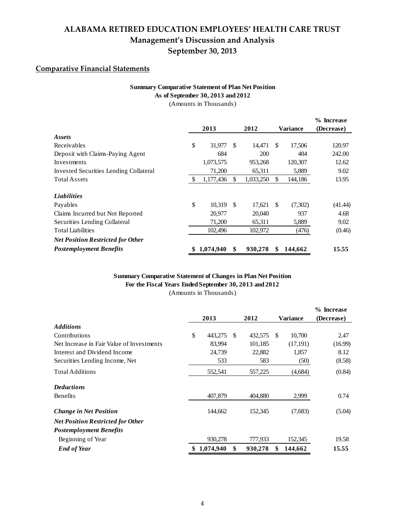## ALABAMA RETIRED EDUCATION EMPLOYEES' HEALTH CARE TRUST Management's Discussion and Analysis September 30, 2013

## Comparative Financial Statements

## **Summary Comparative Statement of Plan Net Position**

**As of September 30, 2013 and 2012**

(Amounts in Thousands)

|                                          |               |           |     |            |     |                 | % Increase |
|------------------------------------------|---------------|-----------|-----|------------|-----|-----------------|------------|
|                                          |               | 2013      |     | 2012       |     | <b>Variance</b> | (Decrease) |
| Assets                                   |               |           |     |            |     |                 |            |
| Receivables                              | \$            | 31.977    | \$. | 14,471     | \$. | 17,506          | 120.97     |
| Deposit with Claims-Paying Agent         |               | 684       |     | <b>200</b> |     | 484             | 242.00     |
| Investments                              |               | 1,073,575 |     | 953,268    |     | 120,307         | 12.62      |
| Invested Securities Lending Collateral   |               | 71,200    |     | 65,311     |     | 5,889           | 9.02       |
| <b>Total Assets</b>                      | <sup>\$</sup> | 1,177,436 | \$. | 1,033,250  | \$  | 144,186         | 13.95      |
| <b>Liabilities</b>                       |               |           |     |            |     |                 |            |
| Payables                                 | \$            | 10.319    | -S  | 17.621 \$  |     | (7,302)         | (41.44)    |
| Claims Incurred but Not Reported         |               | 20,977    |     | 20,040     |     | 937             | 4.68       |
| Securities Lending Collateral            |               | 71,200    |     | 65,311     |     | 5,889           | 9.02       |
| <b>Total Liabilities</b>                 |               | 102,496   |     | 102,972    |     | (476)           | (0.46)     |
| <b>Net Position Restricted for Other</b> |               |           |     |            |     |                 |            |
| <b>Postemployment Benefits</b>           | \$            | 1,074,940 | \$  | 930,278    | \$  | 144,662         | 15.55      |

#### (Amounts in Thousands) **Summary Comparative Statement of Changes in Plan Net Position For the Fiscal Years Ended September 30, 2013 and 2012**

|                                           |                 |               |                 |          | % Increase |
|-------------------------------------------|-----------------|---------------|-----------------|----------|------------|
|                                           | 2013            | 2012          | <b>Variance</b> |          | (Decrease) |
| <b>Additions</b>                          |                 |               |                 |          |            |
| Contributions                             | \$<br>443,275   | \$<br>432,575 | \$.             | 10,700   | 2.47       |
| Net Increase in Fair Value of Investments | 83,994          | 101,185       |                 | (17,191) | (16.99)    |
| Interest and Dividend Income              | 24,739          | 22,882        |                 | 1,857    | 8.12       |
| Securities Lending Income, Net            | 533             | 583           |                 | (50)     | (8.58)     |
| <b>Total Additions</b>                    | 552,541         | 557,225       |                 | (4,684)  | (0.84)     |
| <b>Deductions</b>                         |                 |               |                 |          |            |
| Benefits                                  | 407,879         | 404.880       |                 | 2,999    | 0.74       |
| <b>Change in Net Position</b>             | 144,662         | 152,345       |                 | (7,683)  | (5.04)     |
| <b>Net Position Restricted for Other</b>  |                 |               |                 |          |            |
| <b>Postemployment Benefits</b>            |                 |               |                 |          |            |
| Beginning of Year                         | 930,278         | 777,933       |                 | 152,345  | 19.58      |
| <b>End of Year</b>                        | \$<br>1,074,940 | \$<br>930,278 | \$              | 144,662  | 15.55      |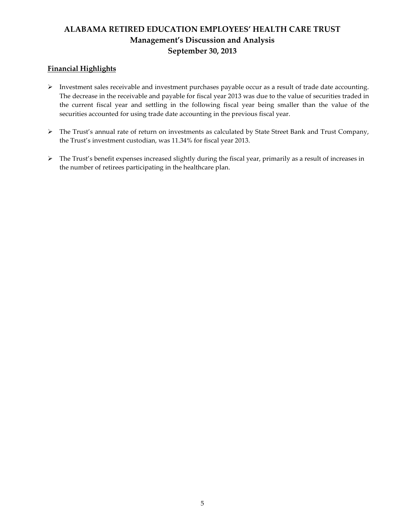# ALABAMA RETIRED EDUCATION EMPLOYEES' HEALTH CARE TRUST Management's Discussion and Analysis September 30, 2013

## Financial Highlights

- Investment sales receivable and investment purchases payable occur as a result of trade date accounting. The decrease in the receivable and payable for fiscal year 2013 was due to the value of securities traded in the current fiscal year and settling in the following fiscal year being smaller than the value of the securities accounted for using trade date accounting in the previous fiscal year.
- The Trust's annual rate of return on investments as calculated by State Street Bank and Trust Company, the Trust's investment custodian, was 11.34% for fiscal year 2013.
- The Trust's benefit expenses increased slightly during the fiscal year, primarily as a result of increases in the number of retirees participating in the healthcare plan.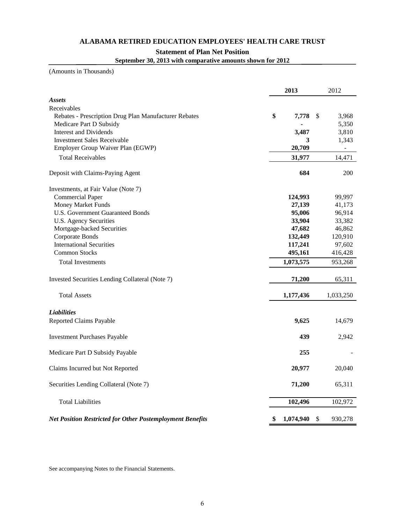#### **ALABAMA RETIRED EDUCATION EMPLOYEES' HEALTH CARE TRUST**

#### **Statement of Plan Net Position**

**September 30, 2013 with comparative amounts shown for 2012**

(Amounts in Thousands)

|                                                                  | 2013            | 2012          |
|------------------------------------------------------------------|-----------------|---------------|
| <b>Assets</b>                                                    |                 |               |
| Receivables                                                      |                 |               |
| Rebates - Prescription Drug Plan Manufacturer Rebates            | \$<br>7,778     | \$<br>3,968   |
| Medicare Part D Subsidy                                          |                 | 5,350         |
| <b>Interest and Dividends</b>                                    | 3,487           | 3,810         |
| <b>Investment Sales Receivable</b>                               | 3               | 1,343         |
| Employer Group Waiver Plan (EGWP)                                | 20,709          |               |
| <b>Total Receivables</b>                                         | 31,977          | 14,471        |
| Deposit with Claims-Paying Agent                                 | 684             | 200           |
| Investments, at Fair Value (Note 7)                              |                 |               |
| <b>Commercial Paper</b>                                          | 124,993         | 99,997        |
| <b>Money Market Funds</b>                                        | 27,139          | 41,173        |
| <b>U.S. Government Guaranteed Bonds</b>                          | 95,006          | 96,914        |
| <b>U.S. Agency Securities</b>                                    | 33,904          | 33,382        |
| Mortgage-backed Securities                                       | 47,682          | 46,862        |
| Corporate Bonds                                                  | 132,449         | 120,910       |
| <b>International Securities</b>                                  | 117,241         | 97,602        |
| <b>Common Stocks</b>                                             | 495,161         | 416,428       |
| <b>Total Investments</b>                                         | 1,073,575       | 953,268       |
| Invested Securities Lending Collateral (Note 7)                  | 71,200          | 65,311        |
| <b>Total Assets</b>                                              | 1,177,436       | 1,033,250     |
| <b>Liabilities</b>                                               |                 |               |
| Reported Claims Payable                                          | 9,625           | 14,679        |
| <b>Investment Purchases Payable</b>                              | 439             | 2,942         |
| Medicare Part D Subsidy Payable                                  | 255             |               |
| Claims Incurred but Not Reported                                 | 20,977          | 20,040        |
| Securities Lending Collateral (Note 7)                           | 71,200          | 65,311        |
| <b>Total Liabilities</b>                                         | 102,496         | 102,972       |
| <b>Net Position Restricted for Other Postemployment Benefits</b> | \$<br>1,074,940 | \$<br>930,278 |

See accompanying Notes to the Financial Statements.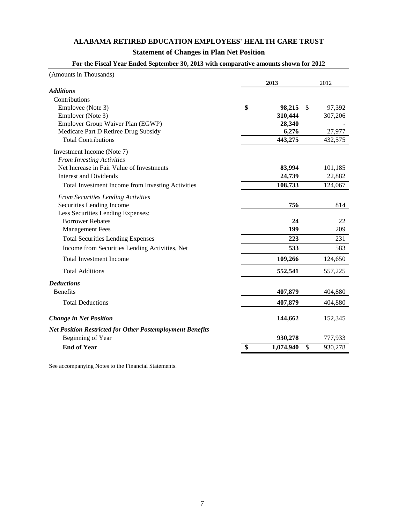## **ALABAMA RETIRED EDUCATION EMPLOYEES' HEALTH CARE TRUST**

## **Statement of Changes in Plan Net Position**

| (Amounts in Thousands)                                           |                 |               |
|------------------------------------------------------------------|-----------------|---------------|
|                                                                  | 2013            | 2012          |
| <b>Additions</b>                                                 |                 |               |
| Contributions                                                    |                 |               |
| Employee (Note 3)                                                | \$<br>98,215    | \$<br>97,392  |
| Employer (Note 3)                                                | 310,444         | 307,206       |
| Employer Group Waiver Plan (EGWP)                                | 28,340          |               |
| Medicare Part D Retiree Drug Subsidy                             | 6,276           | 27,977        |
| <b>Total Contributions</b>                                       | 443,275         | 432,575       |
| Investment Income (Note 7)                                       |                 |               |
| <b>From Investing Activities</b>                                 |                 |               |
| Net Increase in Fair Value of Investments                        | 83,994          | 101,185       |
| <b>Interest and Dividends</b>                                    | 24,739          | 22,882        |
| Total Investment Income from Investing Activities                | 108,733         | 124,067       |
| <b>From Securities Lending Activities</b>                        |                 |               |
| Securities Lending Income                                        | 756             | 814           |
| Less Securities Lending Expenses:                                |                 |               |
| <b>Borrower Rebates</b>                                          | 24              | 22            |
| <b>Management Fees</b>                                           | 199             | 209           |
| <b>Total Securities Lending Expenses</b>                         | 223             | 231           |
| Income from Securities Lending Activities, Net                   | 533             | 583           |
| <b>Total Investment Income</b>                                   | 109,266         | 124,650       |
| <b>Total Additions</b>                                           | 552,541         | 557,225       |
| <b>Deductions</b>                                                |                 |               |
| <b>Benefits</b>                                                  | 407,879         | 404,880       |
| <b>Total Deductions</b>                                          | 407,879         | 404,880       |
| <b>Change in Net Position</b>                                    | 144,662         | 152,345       |
| <b>Net Position Restricted for Other Postemployment Benefits</b> |                 |               |
| Beginning of Year                                                | 930,278         | 777,933       |
| <b>End of Year</b>                                               | \$<br>1,074,940 | \$<br>930,278 |

## **For the Fiscal Year Ended September 30, 2013 with comparative amounts shown for 2012**

See accompanying Notes to the Financial Statements.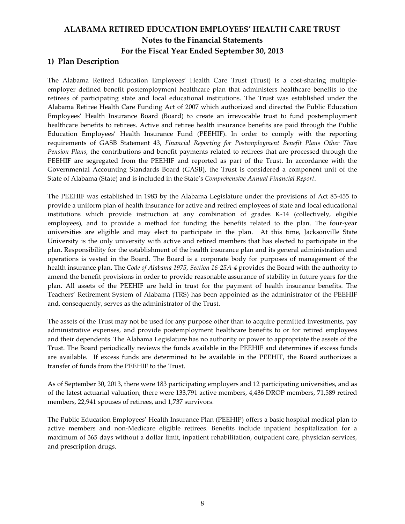## 1) Plan Description

The Alabama Retired Education Employees' Health Care Trust (Trust) is a cost-sharing multipleemployer defined benefit postemployment healthcare plan that administers healthcare benefits to the retirees of participating state and local educational institutions. The Trust was established under the Alabama Retiree Health Care Funding Act of 2007 which authorized and directed the Public Education Employees' Health Insurance Board (Board) to create an irrevocable trust to fund postemployment healthcare benefits to retirees. Active and retiree health insurance benefits are paid through the Public Education Employees' Health Insurance Fund (PEEHIF). In order to comply with the reporting requirements of GASB Statement 43, Financial Reporting for Postemployment Benefit Plans Other Than Pension Plans, the contributions and benefit payments related to retirees that are processed through the PEEHIF are segregated from the PEEHIF and reported as part of the Trust. In accordance with the Governmental Accounting Standards Board (GASB), the Trust is considered a component unit of the State of Alabama (State) and is included in the State's Comprehensive Annual Financial Report.

The PEEHIF was established in 1983 by the Alabama Legislature under the provisions of Act 83-455 to provide a uniform plan of health insurance for active and retired employees of state and local educational institutions which provide instruction at any combination of grades K-14 (collectively, eligible employees), and to provide a method for funding the benefits related to the plan. The four-year universities are eligible and may elect to participate in the plan. At this time, Jacksonville State University is the only university with active and retired members that has elected to participate in the plan. Responsibility for the establishment of the health insurance plan and its general administration and operations is vested in the Board. The Board is a corporate body for purposes of management of the health insurance plan. The Code of Alabama 1975, Section 16-25A-4 provides the Board with the authority to amend the benefit provisions in order to provide reasonable assurance of stability in future years for the plan. All assets of the PEEHIF are held in trust for the payment of health insurance benefits. The Teachers' Retirement System of Alabama (TRS) has been appointed as the administrator of the PEEHIF and, consequently, serves as the administrator of the Trust.

The assets of the Trust may not be used for any purpose other than to acquire permitted investments, pay administrative expenses, and provide postemployment healthcare benefits to or for retired employees and their dependents. The Alabama Legislature has no authority or power to appropriate the assets of the Trust. The Board periodically reviews the funds available in the PEEHIF and determines if excess funds are available. If excess funds are determined to be available in the PEEHIF, the Board authorizes a transfer of funds from the PEEHIF to the Trust.

As of September 30, 2013, there were 183 participating employers and 12 participating universities, and as of the latest actuarial valuation, there were 133,791 active members, 4,436 DROP members, 71,589 retired members, 22,941 spouses of retirees, and 1,737 survivors.

The Public Education Employees' Health Insurance Plan (PEEHIP) offers a basic hospital medical plan to active members and non-Medicare eligible retirees. Benefits include inpatient hospitalization for a maximum of 365 days without a dollar limit, inpatient rehabilitation, outpatient care, physician services, and prescription drugs.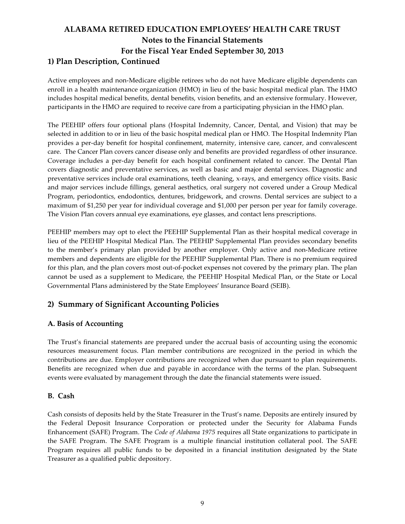# ALABAMA RETIRED EDUCATION EMPLOYEES' HEALTH CARE TRUST Notes to the Financial Statements For the Fiscal Year Ended September 30, 2013 1) Plan Description, Continued

Active employees and non-Medicare eligible retirees who do not have Medicare eligible dependents can enroll in a health maintenance organization (HMO) in lieu of the basic hospital medical plan. The HMO includes hospital medical benefits, dental benefits, vision benefits, and an extensive formulary. However, participants in the HMO are required to receive care from a participating physician in the HMO plan.

The PEEHIP offers four optional plans (Hospital Indemnity, Cancer, Dental, and Vision) that may be selected in addition to or in lieu of the basic hospital medical plan or HMO. The Hospital Indemnity Plan provides a per-day benefit for hospital confinement, maternity, intensive care, cancer, and convalescent care. The Cancer Plan covers cancer disease only and benefits are provided regardless of other insurance. Coverage includes a per-day benefit for each hospital confinement related to cancer. The Dental Plan covers diagnostic and preventative services, as well as basic and major dental services. Diagnostic and preventative services include oral examinations, teeth cleaning, x-rays, and emergency office visits. Basic and major services include fillings, general aesthetics, oral surgery not covered under a Group Medical Program, periodontics, endodontics, dentures, bridgework, and crowns. Dental services are subject to a maximum of \$1,250 per year for individual coverage and \$1,000 per person per year for family coverage. The Vision Plan covers annual eye examinations, eye glasses, and contact lens prescriptions.

PEEHIP members may opt to elect the PEEHIP Supplemental Plan as their hospital medical coverage in lieu of the PEEHIP Hospital Medical Plan. The PEEHIP Supplemental Plan provides secondary benefits to the member's primary plan provided by another employer. Only active and non-Medicare retiree members and dependents are eligible for the PEEHIP Supplemental Plan. There is no premium required for this plan, and the plan covers most out-of-pocket expenses not covered by the primary plan. The plan cannot be used as a supplement to Medicare, the PEEHIP Hospital Medical Plan, or the State or Local Governmental Plans administered by the State Employees' Insurance Board (SEIB).

## 2) Summary of Significant Accounting Policies

### A. Basis of Accounting

The Trust's financial statements are prepared under the accrual basis of accounting using the economic resources measurement focus. Plan member contributions are recognized in the period in which the contributions are due. Employer contributions are recognized when due pursuant to plan requirements. Benefits are recognized when due and payable in accordance with the terms of the plan. Subsequent events were evaluated by management through the date the financial statements were issued.

#### B. Cash

Cash consists of deposits held by the State Treasurer in the Trust's name. Deposits are entirely insured by the Federal Deposit Insurance Corporation or protected under the Security for Alabama Funds Enhancement (SAFE) Program. The Code of Alabama 1975 requires all State organizations to participate in the SAFE Program. The SAFE Program is a multiple financial institution collateral pool. The SAFE Program requires all public funds to be deposited in a financial institution designated by the State Treasurer as a qualified public depository.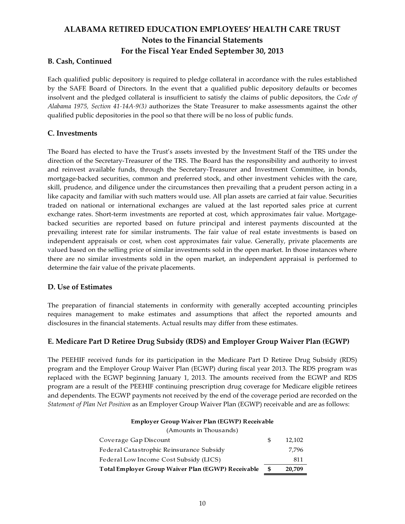### B. Cash, Continued

Each qualified public depository is required to pledge collateral in accordance with the rules established by the SAFE Board of Directors. In the event that a qualified public depository defaults or becomes insolvent and the pledged collateral is insufficient to satisfy the claims of public depositors, the Code of Alabama 1975, Section 41-14A-9(3) authorizes the State Treasurer to make assessments against the other qualified public depositories in the pool so that there will be no loss of public funds.

#### C. Investments

The Board has elected to have the Trust's assets invested by the Investment Staff of the TRS under the direction of the Secretary-Treasurer of the TRS. The Board has the responsibility and authority to invest and reinvest available funds, through the Secretary-Treasurer and Investment Committee, in bonds, mortgage-backed securities, common and preferred stock, and other investment vehicles with the care, skill, prudence, and diligence under the circumstances then prevailing that a prudent person acting in a like capacity and familiar with such matters would use. All plan assets are carried at fair value. Securities traded on national or international exchanges are valued at the last reported sales price at current exchange rates. Short-term investments are reported at cost, which approximates fair value. Mortgagebacked securities are reported based on future principal and interest payments discounted at the prevailing interest rate for similar instruments. The fair value of real estate investments is based on independent appraisals or cost, when cost approximates fair value. Generally, private placements are valued based on the selling price of similar investments sold in the open market. In those instances where there are no similar investments sold in the open market, an independent appraisal is performed to determine the fair value of the private placements.

#### D. Use of Estimates

The preparation of financial statements in conformity with generally accepted accounting principles requires management to make estimates and assumptions that affect the reported amounts and disclosures in the financial statements. Actual results may differ from these estimates.

#### E. Medicare Part D Retiree Drug Subsidy (RDS) and Employer Group Waiver Plan (EGWP)

The PEEHIF received funds for its participation in the Medicare Part D Retiree Drug Subsidy (RDS) program and the Employer Group Waiver Plan (EGWP) during fiscal year 2013. The RDS program was replaced with the EGWP beginning January 1, 2013. The amounts received from the EGWP and RDS program are a result of the PEEHIF continuing prescription drug coverage for Medicare eligible retirees and dependents. The EGWP payments not received by the end of the coverage period are recorded on the Statement of Plan Net Position as an Employer Group Waiver Plan (EGWP) receivable and are as follows:

#### Employer Group Waiver Plan (EGWP) Receivable

| (Amounts in Thousands)                             |   |        |  |  |  |  |  |
|----------------------------------------------------|---|--------|--|--|--|--|--|
| Coverage Gap Discount                              | S | 12.102 |  |  |  |  |  |
| Federal Catastrophic Reinsurance Subsidy           |   | 7.796  |  |  |  |  |  |
| Federal Low Income Cost Subsidy (LICS)             |   | 811    |  |  |  |  |  |
| Total Employer Group Waiver Plan (EGWP) Receivable |   | 20,709 |  |  |  |  |  |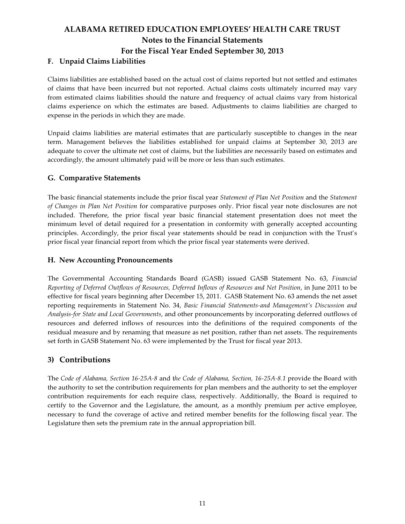## F. Unpaid Claims Liabilities

Claims liabilities are established based on the actual cost of claims reported but not settled and estimates of claims that have been incurred but not reported. Actual claims costs ultimately incurred may vary from estimated claims liabilities should the nature and frequency of actual claims vary from historical claims experience on which the estimates are based. Adjustments to claims liabilities are charged to expense in the periods in which they are made.

Unpaid claims liabilities are material estimates that are particularly susceptible to changes in the near term. Management believes the liabilities established for unpaid claims at September 30, 2013 are adequate to cover the ultimate net cost of claims, but the liabilities are necessarily based on estimates and accordingly, the amount ultimately paid will be more or less than such estimates.

### G. Comparative Statements

The basic financial statements include the prior fiscal year Statement of Plan Net Position and the Statement of Changes in Plan Net Position for comparative purposes only. Prior fiscal year note disclosures are not included. Therefore, the prior fiscal year basic financial statement presentation does not meet the minimum level of detail required for a presentation in conformity with generally accepted accounting principles. Accordingly, the prior fiscal year statements should be read in conjunction with the Trust's prior fiscal year financial report from which the prior fiscal year statements were derived.

### H. New Accounting Pronouncements

The Governmental Accounting Standards Board (GASB) issued GASB Statement No. 63, Financial Reporting of Deferred Outflows of Resources, Deferred Inflows of Resources and Net Position, in June 2011 to be effective for fiscal years beginning after December 15, 2011. GASB Statement No. 63 amends the net asset reporting requirements in Statement No. 34, Basic Financial Statements-and Management's Discussion and Analysis-for State and Local Governments, and other pronouncements by incorporating deferred outflows of resources and deferred inflows of resources into the definitions of the required components of the residual measure and by renaming that measure as net position, rather than net assets. The requirements set forth in GASB Statement No. 63 were implemented by the Trust for fiscal year 2013.

## 3) Contributions

The Code of Alabama, Section 16-25A-8 and the Code of Alabama, Section, 16-25A-8.1 provide the Board with the authority to set the contribution requirements for plan members and the authority to set the employer contribution requirements for each require class, respectively. Additionally, the Board is required to certify to the Governor and the Legislature, the amount, as a monthly premium per active employee, necessary to fund the coverage of active and retired member benefits for the following fiscal year. The Legislature then sets the premium rate in the annual appropriation bill.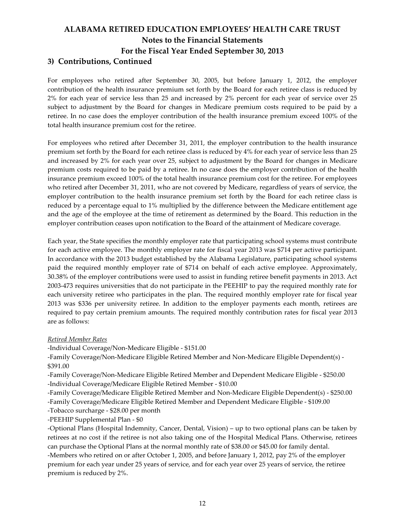## ALABAMA RETIRED EDUCATION EMPLOYEES' HEALTH CARE TRUST Notes to the Financial Statements For the Fiscal Year Ended September 30, 2013 3) Contributions, Continued

For employees who retired after September 30, 2005, but before January 1, 2012, the employer contribution of the health insurance premium set forth by the Board for each retiree class is reduced by 2% for each year of service less than 25 and increased by 2% percent for each year of service over 25 subject to adjustment by the Board for changes in Medicare premium costs required to be paid by a retiree. In no case does the employer contribution of the health insurance premium exceed 100% of the total health insurance premium cost for the retiree.

For employees who retired after December 31, 2011, the employer contribution to the health insurance premium set forth by the Board for each retiree class is reduced by 4% for each year of service less than 25 and increased by 2% for each year over 25, subject to adjustment by the Board for changes in Medicare premium costs required to be paid by a retiree. In no case does the employer contribution of the health insurance premium exceed 100% of the total health insurance premium cost for the retiree. For employees who retired after December 31, 2011, who are not covered by Medicare, regardless of years of service, the employer contribution to the health insurance premium set forth by the Board for each retiree class is reduced by a percentage equal to 1% multiplied by the difference between the Medicare entitlement age and the age of the employee at the time of retirement as determined by the Board. This reduction in the employer contribution ceases upon notification to the Board of the attainment of Medicare coverage.

Each year, the State specifies the monthly employer rate that participating school systems must contribute for each active employee. The monthly employer rate for fiscal year 2013 was \$714 per active participant. In accordance with the 2013 budget established by the Alabama Legislature, participating school systems paid the required monthly employer rate of \$714 on behalf of each active employee. Approximately, 30.38% of the employer contributions were used to assist in funding retiree benefit payments in 2013. Act 2003-473 requires universities that do not participate in the PEEHIP to pay the required monthly rate for each university retiree who participates in the plan. The required monthly employer rate for fiscal year 2013 was \$336 per university retiree. In addition to the employer payments each month, retirees are required to pay certain premium amounts. The required monthly contribution rates for fiscal year 2013 are as follows:

#### Retired Member Rates

-Individual Coverage/Non-Medicare Eligible - \$151.00

-Family Coverage/Non-Medicare Eligible Retired Member and Non-Medicare Eligible Dependent(s) - \$391.00

-Family Coverage/Non-Medicare Eligible Retired Member and Dependent Medicare Eligible - \$250.00 -Individual Coverage/Medicare Eligible Retired Member - \$10.00

-Family Coverage/Medicare Eligible Retired Member and Non-Medicare Eligible Dependent(s) - \$250.00 -Family Coverage/Medicare Eligible Retired Member and Dependent Medicare Eligible - \$109.00

-Tobacco surcharge - \$28.00 per month

-PEEHIP Supplemental Plan - \$0

-Optional Plans (Hospital Indemnity, Cancer, Dental, Vision) – up to two optional plans can be taken by retirees at no cost if the retiree is not also taking one of the Hospital Medical Plans. Otherwise, retirees can purchase the Optional Plans at the normal monthly rate of \$38.00 or \$45.00 for family dental. -Members who retired on or after October 1, 2005, and before January 1, 2012, pay 2% of the employer premium for each year under 25 years of service, and for each year over 25 years of service, the retiree premium is reduced by 2%.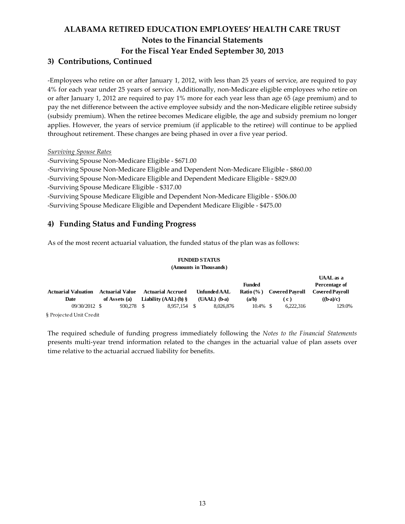## 3) Contributions, Continued

-Employees who retire on or after January 1, 2012, with less than 25 years of service, are required to pay 4% for each year under 25 years of service. Additionally, non-Medicare eligible employees who retire on or after January 1, 2012 are required to pay 1% more for each year less than age 65 (age premium) and to pay the net difference between the active employee subsidy and the non-Medicare eligible retiree subsidy (subsidy premium). When the retiree becomes Medicare eligible, the age and subsidy premium no longer applies. However, the years of service premium (if applicable to the retiree) will continue to be applied throughout retirement. These changes are being phased in over a five year period.

#### Surviving Spouse Rates

-Surviving Spouse Non-Medicare Eligible - \$671.00 -Surviving Spouse Non-Medicare Eligible and Dependent Non-Medicare Eligible - \$860.00 -Surviving Spouse Non-Medicare Eligible and Dependent Medicare Eligible - \$829.00 -Surviving Spouse Medicare Eligible - \$317.00 -Surviving Spouse Medicare Eligible and Dependent Non-Medicare Eligible - \$506.00 -Surviving Spouse Medicare Eligible and Dependent Medicare Eligible - \$475.00

## 4) Funding Status and Funding Progress

As of the most recent actuarial valuation, the funded status of the plan was as follows:

#### **FUNDED STATUS (Amounts in Thousands)**

|                            |                        |                           |                     |                      |                        | UAAL as a                                    |
|----------------------------|------------------------|---------------------------|---------------------|----------------------|------------------------|----------------------------------------------|
|                            |                        |                           |                     | <b>Funded</b>        |                        | Percentage of                                |
| <b>Actuarial Valuation</b> | <b>Actuarial Value</b> | <b>Actuarial Accrued</b>  | <b>Unfunded AAL</b> | <b>Ratio</b> $(\% )$ | <b>Covered Payroll</b> | <b>Covered Payroll</b>                       |
| Date                       | of Assets (a)          | Liability $(AAL)$ (b) $\$ | $(UAAL)$ (b-a)      | (a/b)                | ( c )                  | $(\mathbf{b}\text{-}\mathbf{a})/\mathbf{c})$ |
| 09/30/2012 \$              | 930.278                | 8.957.154 \$<br>- \$      | 8.026.876           | $10.4\%$ \$          | 6.222.316              | 129.0%                                       |
| § Projected Unit Credit    |                        |                           |                     |                      |                        |                                              |

The required schedule of funding progress immediately following the Notes to the Financial Statements presents multi-year trend information related to the changes in the actuarial value of plan assets over time relative to the actuarial accrued liability for benefits.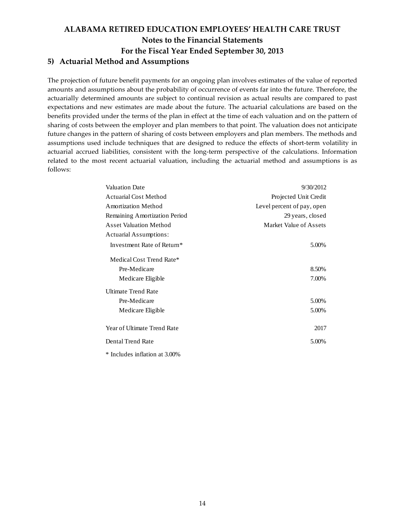# ALABAMA RETIRED EDUCATION EMPLOYEES' HEALTH CARE TRUST Notes to the Financial Statements For the Fiscal Year Ended September 30, 2013 5) Actuarial Method and Assumptions

The projection of future benefit payments for an ongoing plan involves estimates of the value of reported amounts and assumptions about the probability of occurrence of events far into the future. Therefore, the actuarially determined amounts are subject to continual revision as actual results are compared to past expectations and new estimates are made about the future. The actuarial calculations are based on the benefits provided under the terms of the plan in effect at the time of each valuation and on the pattern of sharing of costs between the employer and plan members to that point. The valuation does not anticipate future changes in the pattern of sharing of costs between employers and plan members. The methods and assumptions used include techniques that are designed to reduce the effects of short-term volatility in actuarial accrued liabilities, consistent with the long-term perspective of the calculations. Information related to the most recent actuarial valuation, including the actuarial method and assumptions is as follows:

| <b>Valuation Date</b>                  | 9/30/2012                  |
|----------------------------------------|----------------------------|
| <b>Actuarial Cost Method</b>           | Projected Unit Credit      |
| <b>Amortization Method</b>             | Level percent of pay, open |
| Remaining Amortization Period          | 29 years, closed           |
| <b>Asset Valuation Method</b>          | Market Value of Assets     |
| Actuarial Assumptions:                 |                            |
| Investment Rate of Return <sup>*</sup> | 5.00%                      |
| Medical Cost Trend Rate*               |                            |
| Pre-Medicare                           | 8.50%                      |
| Medicare Eligible                      | 7.00%                      |
| <b>Ultimate Trend Rate</b>             |                            |
| Pre-Medicare                           | 5.00%                      |
| Medicare Eligible                      | 5.00%                      |
| Year of Ultimate Trend Rate            | 2017                       |
| Dental Trend Rate                      | 5.00%                      |
| * Includes inflation at 3.00%          |                            |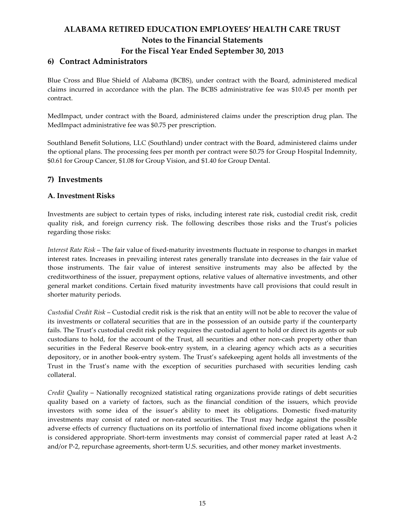## 6) Contract Administrators

 Blue Cross and Blue Shield of Alabama (BCBS), under contract with the Board, administered medical claims incurred in accordance with the plan. The BCBS administrative fee was \$10.45 per month per contract.

 MedImpact, under contract with the Board, administered claims under the prescription drug plan. The MedImpact administrative fee was \$0.75 per prescription.

 Southland Benefit Solutions, LLC (Southland) under contract with the Board, administered claims under the optional plans. The processing fees per month per contract were \$0.75 for Group Hospital Indemnity, \$0.61 for Group Cancer, \$1.08 for Group Vision, and \$1.40 for Group Dental.

## 7) Investments

### A. Investment Risks

Investments are subject to certain types of risks, including interest rate risk, custodial credit risk, credit quality risk, and foreign currency risk. The following describes those risks and the Trust's policies regarding those risks:

Interest Rate Risk – The fair value of fixed-maturity investments fluctuate in response to changes in market interest rates. Increases in prevailing interest rates generally translate into decreases in the fair value of those instruments. The fair value of interest sensitive instruments may also be affected by the creditworthiness of the issuer, prepayment options, relative values of alternative investments, and other general market conditions. Certain fixed maturity investments have call provisions that could result in shorter maturity periods.

Custodial Credit Risk – Custodial credit risk is the risk that an entity will not be able to recover the value of its investments or collateral securities that are in the possession of an outside party if the counterparty fails. The Trust's custodial credit risk policy requires the custodial agent to hold or direct its agents or sub custodians to hold, for the account of the Trust, all securities and other non-cash property other than securities in the Federal Reserve book-entry system, in a clearing agency which acts as a securities depository, or in another book-entry system. The Trust's safekeeping agent holds all investments of the Trust in the Trust's name with the exception of securities purchased with securities lending cash collateral.

Credit Quality – Nationally recognized statistical rating organizations provide ratings of debt securities quality based on a variety of factors, such as the financial condition of the issuers, which provide investors with some idea of the issuer's ability to meet its obligations. Domestic fixed-maturity investments may consist of rated or non-rated securities. The Trust may hedge against the possible adverse effects of currency fluctuations on its portfolio of international fixed income obligations when it is considered appropriate. Short-term investments may consist of commercial paper rated at least A-2 and/or P-2, repurchase agreements, short-term U.S. securities, and other money market investments.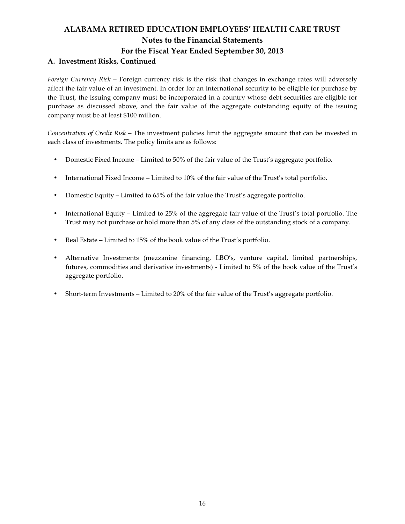### A. Investment Risks, Continued

Foreign Currency Risk – Foreign currency risk is the risk that changes in exchange rates will adversely affect the fair value of an investment. In order for an international security to be eligible for purchase by the Trust, the issuing company must be incorporated in a country whose debt securities are eligible for purchase as discussed above, and the fair value of the aggregate outstanding equity of the issuing company must be at least \$100 million.

Concentration of Credit Risk – The investment policies limit the aggregate amount that can be invested in each class of investments. The policy limits are as follows:

- Domestic Fixed Income Limited to 50% of the fair value of the Trust's aggregate portfolio.
- International Fixed Income Limited to 10% of the fair value of the Trust's total portfolio.
- Domestic Equity Limited to 65% of the fair value the Trust's aggregate portfolio.
- International Equity Limited to 25% of the aggregate fair value of the Trust's total portfolio. The Trust may not purchase or hold more than 5% of any class of the outstanding stock of a company.
- Real Estate Limited to 15% of the book value of the Trust's portfolio.
- Alternative Investments (mezzanine financing, LBO's, venture capital, limited partnerships, futures, commodities and derivative investments) - Limited to 5% of the book value of the Trust's aggregate portfolio.
- Short-term Investments Limited to 20% of the fair value of the Trust's aggregate portfolio.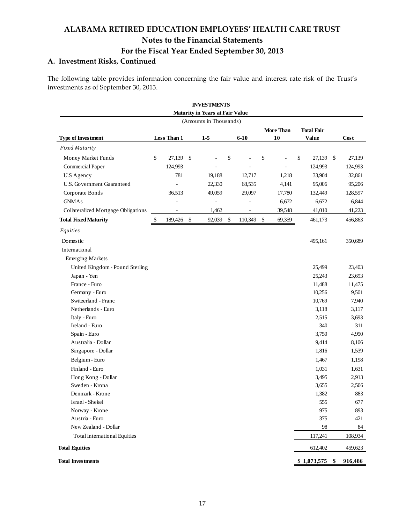## A. Investment Risks, Continued

The following table provides information concerning the fair value and interest rate risk of the Trust's investments as of September 30, 2013.

|                                     |               |               | <b>INVESTMENTS</b>                |            |            |                        |                                   |               |
|-------------------------------------|---------------|---------------|-----------------------------------|------------|------------|------------------------|-----------------------------------|---------------|
|                                     |               |               | Maturity in Years at Fair Value   |            |            |                        |                                   |               |
| <b>Type of Investment</b>           | Less Than 1   |               | (Amounts in Thousands)<br>$1 - 5$ |            | $6 - 10$   | <b>More Than</b><br>10 | <b>Total Fair</b><br><b>Value</b> | Cost          |
| <b>Fixed Maturity</b>               |               |               |                                   |            |            |                        |                                   |               |
| Money Market Funds                  | \$<br>27,139  | - \$          |                                   | \$         |            | \$                     | \$<br>27,139                      | \$<br>27,139  |
| Commercial Paper                    | 124,993       |               |                                   |            |            |                        | 124,993                           | 124,993       |
| <b>U.S Agency</b>                   | 781           |               | 19,188                            |            | 12,717     | 1,218                  | 33,904                            | 32,861        |
| <b>U.S. Government Guaranteed</b>   | ÷,            |               | 22,330                            |            | 68,535     | 4,141                  | 95,006                            | 95,206        |
| Corporate Bonds                     | 36,513        |               | 49,059                            |            | 29,097     | 17,780                 | 132,449                           | 128,597       |
| <b>GNMAs</b>                        |               |               | $\overline{a}$                    |            |            | 6,672                  | 6,672                             | 6,844         |
| Collateralized Mortgage Obligations |               |               | 1,462                             |            | ÷,         | 39,548                 | 41,010                            | 41,223        |
| <b>Total Fixed Maturity</b>         | \$<br>189,426 | $\mathcal{S}$ | 92,039                            | $\sqrt{3}$ | 110,349 \$ | 69,359                 | 461,173                           | 456,863       |
| Equities                            |               |               |                                   |            |            |                        |                                   |               |
| Domestic                            |               |               |                                   |            |            |                        | 495,161                           | 350,689       |
| International                       |               |               |                                   |            |            |                        |                                   |               |
| <b>Emerging Markets</b>             |               |               |                                   |            |            |                        |                                   |               |
| United Kingdom - Pound Sterling     |               |               |                                   |            |            |                        | 25,499                            | 23,403        |
| Japan - Yen                         |               |               |                                   |            |            |                        | 25,243                            | 23,693        |
| France - Euro                       |               |               |                                   |            |            |                        | 11,488                            | 11,475        |
| Germany - Euro                      |               |               |                                   |            |            |                        | 10,256                            | 9,501         |
| Switzerland - Franc                 |               |               |                                   |            |            |                        | 10,769                            | 7,940         |
| Netherlands - Euro                  |               |               |                                   |            |            |                        | 3,118                             | 3,117         |
| Italy - Euro                        |               |               |                                   |            |            |                        | 2,515                             | 3,693         |
| Ireland - Euro                      |               |               |                                   |            |            |                        | 340                               | 311           |
| Spain - Euro                        |               |               |                                   |            |            |                        | 3,750                             | 4,950         |
| Australia - Dollar                  |               |               |                                   |            |            |                        | 9,414                             | 8,106         |
| Singapore - Dollar                  |               |               |                                   |            |            |                        | 1,816                             | 1,539         |
| Belgium - Euro                      |               |               |                                   |            |            |                        | 1,467                             | 1,198         |
| Finland - Euro                      |               |               |                                   |            |            |                        | 1,031                             | 1,631         |
| Hong Kong - Dollar                  |               |               |                                   |            |            |                        | 3,495                             | 2,913         |
| Sweden - Krona                      |               |               |                                   |            |            |                        | 3,655                             | 2,506         |
| Denmark - Krone                     |               |               |                                   |            |            |                        | 1,382                             | 883           |
| Israel - Shekel                     |               |               |                                   |            |            |                        | 555                               | 677           |
| Norway - Krone                      |               |               |                                   |            |            |                        | 975                               | 893           |
| Austria - Euro                      |               |               |                                   |            |            |                        | 375                               | 421           |
| New Zealand - Dollar                |               |               |                                   |            |            |                        | 98                                | 84            |
| <b>Total International Equities</b> |               |               |                                   |            |            |                        | 117,241                           | 108,934       |
| <b>Total Equities</b>               |               |               |                                   |            |            |                        | 612,402                           | 459,623       |
| <b>Total Investments</b>            |               |               |                                   |            |            |                        | \$1,073,575                       | \$<br>916,486 |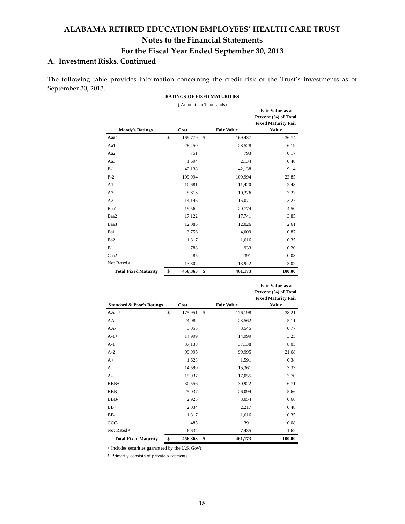## A. Investment Risks, Continued

The following table provides information concerning the credit risk of the Trust's investments as of September 30, 2013. **RATINGS OF FIXED MATURITIES**

|                             | (Amounts in Thousands) |                   |                            |
|-----------------------------|------------------------|-------------------|----------------------------|
|                             |                        |                   | Fair Value as a            |
|                             |                        |                   | Percent (%) of Total       |
|                             |                        |                   | <b>Fixed Maturity Fair</b> |
| <b>Moody's Ratings</b>      | Cost                   | <b>Fair Value</b> | <b>Value</b>               |
| Aaa <sup>1</sup>            | \$<br>169,779          | \$<br>169,437     | 36.74                      |
| Aa1                         | 28,450                 | 28,528            | 6.19                       |
| Aa2                         | 751                    | 793               | 0.17                       |
| Aa3                         | 1,694                  | 2,134             | 0.46                       |
| $P-1$                       | 42,138                 | 42,138            | 9.14                       |
| $P-2$                       | 109,994                | 109,994           | 23.85                      |
| A1                          | 10,681                 | 11,420            | 2.48                       |
| A <sub>2</sub>              | 9,813                  | 10,226            | 2.22                       |
| A <sub>3</sub>              | 14,146                 | 15,071            | 3.27                       |
| Baa1                        | 19,562                 | 20,774            | 4.50                       |
| Baa2                        | 17,122                 | 17,741            | 3.85                       |
| Baa3                        | 12,085                 | 12,026            | 2.61                       |
| Ba1                         | 3,756                  | 4,009             | 0.87                       |
| Ba2                         | 1,817                  | 1,616             | 0.35                       |
| B1                          | 788                    | 933               | 0.20                       |
| Caa2                        | 485                    | 391               | 0.08                       |
| Not Rated 2                 | 13,802                 | 13,942            | 3.02                       |
| <b>Total Fixed Maturity</b> | \$<br>456,863          | \$<br>461,173     | 100.00                     |

| <b>Total Fixed Maturity</b>          | \$<br>456,863 | \$ | 461,173           | 100.00                                                                                |
|--------------------------------------|---------------|----|-------------------|---------------------------------------------------------------------------------------|
| <b>Standard &amp; Poor's Ratings</b> | Cost          |    | <b>Fair Value</b> | Fair Value as a<br>Percent (%) of Total<br><b>Fixed Maturity Fair</b><br><b>Value</b> |
| $AA+1$                               | \$<br>175,951 | S  | 176,198           | 38.21                                                                                 |
| AA                                   | 24,082        |    | 23,562            | 5.11                                                                                  |
| AA-                                  | 3,055         |    | 3,545             | 0.77                                                                                  |
| $A-1+$                               | 14,999        |    | 14,999            | 3.25                                                                                  |
| A-1                                  | 37,138        |    | 37,138            | 8.05                                                                                  |
| A-2                                  | 99,995        |    | 99,995            | 21.68                                                                                 |
| A+                                   | 1,628         |    | 1,591             | 0.34                                                                                  |
| А                                    | 14,590        |    | 15,361            | 3.33                                                                                  |
| А-                                   | 15,937        |    | 17,055            | 3.70                                                                                  |
| BBB+                                 | 30,556        |    | 30,922            | 6.71                                                                                  |
| BBB                                  | 25,037        |    | 26,094            | 5.66                                                                                  |
| BBB-                                 | 2,925         |    | 3,054             | 0.66                                                                                  |
|                                      |               |    |                   |                                                                                       |

BB+ 2,034 2,217 0.48 BB- 1,817 1,616 0.35 CCC- 485 391 0.08 Not Rated <sup>2</sup> 6,634 7,435 1.62 **Total Fixed Maturity \$ 456,863 \$ 461,173 100.00**

<sup>1</sup> Includes securities guaranteed by the U.S. Gov't

² Primarily consists of private placements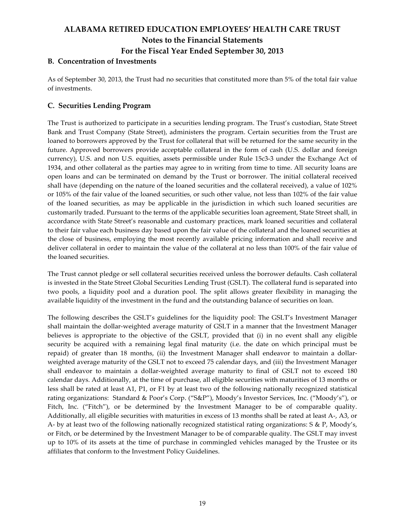### B. Concentration of Investments

As of September 30, 2013, the Trust had no securities that constituted more than 5% of the total fair value of investments.

### C. Securities Lending Program

The Trust is authorized to participate in a securities lending program. The Trust's custodian, State Street Bank and Trust Company (State Street), administers the program. Certain securities from the Trust are loaned to borrowers approved by the Trust for collateral that will be returned for the same security in the future. Approved borrowers provide acceptable collateral in the form of cash (U.S. dollar and foreign currency), U.S. and non U.S. equities, assets permissible under Rule 15c3-3 under the Exchange Act of 1934, and other collateral as the parties may agree to in writing from time to time. All security loans are open loans and can be terminated on demand by the Trust or borrower. The initial collateral received shall have (depending on the nature of the loaned securities and the collateral received), a value of 102% or 105% of the fair value of the loaned securities, or such other value, not less than 102% of the fair value of the loaned securities, as may be applicable in the jurisdiction in which such loaned securities are customarily traded. Pursuant to the terms of the applicable securities loan agreement, State Street shall, in accordance with State Street's reasonable and customary practices, mark loaned securities and collateral to their fair value each business day based upon the fair value of the collateral and the loaned securities at the close of business, employing the most recently available pricing information and shall receive and deliver collateral in order to maintain the value of the collateral at no less than 100% of the fair value of the loaned securities.

The Trust cannot pledge or sell collateral securities received unless the borrower defaults. Cash collateral is invested in the State Street Global Securities Lending Trust (GSLT). The collateral fund is separated into two pools, a liquidity pool and a duration pool. The split allows greater flexibility in managing the available liquidity of the investment in the fund and the outstanding balance of securities on loan.

The following describes the GSLT's guidelines for the liquidity pool: The GSLT's Investment Manager shall maintain the dollar-weighted average maturity of GSLT in a manner that the Investment Manager believes is appropriate to the objective of the GSLT, provided that (i) in no event shall any eligible security be acquired with a remaining legal final maturity (i.e. the date on which principal must be repaid) of greater than 18 months, (ii) the Investment Manager shall endeavor to maintain a dollarweighted average maturity of the GSLT not to exceed 75 calendar days, and (iii) the Investment Manager shall endeavor to maintain a dollar-weighted average maturity to final of GSLT not to exceed 180 calendar days. Additionally, at the time of purchase, all eligible securities with maturities of 13 months or less shall be rated at least A1, P1, or F1 by at least two of the following nationally recognized statistical rating organizations: Standard & Poor's Corp. ("S&P"), Moody's Investor Services, Inc. ("Moody's"), or Fitch, Inc. ("Fitch"), or be determined by the Investment Manager to be of comparable quality. Additionally, all eligible securities with maturities in excess of 13 months shall be rated at least A-, A3, or A- by at least two of the following nationally recognized statistical rating organizations: S & P, Moody's, or Fitch, or be determined by the Investment Manager to be of comparable quality. The GSLT may invest up to 10% of its assets at the time of purchase in commingled vehicles managed by the Trustee or its affiliates that conform to the Investment Policy Guidelines.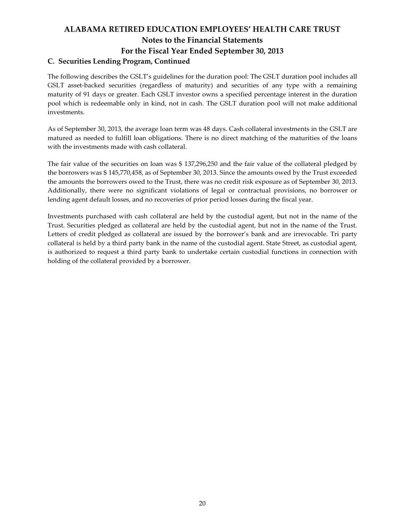# ALABAMA RETIRED EDUCATION EMPLOYEES' HEALTH CARE TRUST Notes to the Financial Statements For the Fiscal Year Ended September 30, 2013 C. Securities Lending Program, Continued

The following describes the GSLT's guidelines for the duration pool: The GSLT duration pool includes all GSLT asset-backed securities (regardless of maturity) and securities of any type with a remaining maturity of 91 days or greater. Each GSLT investor owns a specified percentage interest in the duration pool which is redeemable only in kind, not in cash. The GSLT duration pool will not make additional investments.

As of September 30, 2013, the average loan term was 48 days. Cash collateral investments in the GSLT are matured as needed to fulfill loan obligations. There is no direct matching of the maturities of the loans with the investments made with cash collateral.

The fair value of the securities on loan was \$ 137,296,250 and the fair value of the collateral pledged by the borrowers was \$ 145,770,458, as of September 30, 2013. Since the amounts owed by the Trust exceeded the amounts the borrowers owed to the Trust, there was no credit risk exposure as of September 30, 2013. Additionally, there were no significant violations of legal or contractual provisions, no borrower or lending agent default losses, and no recoveries of prior period losses during the fiscal year.

Investments purchased with cash collateral are held by the custodial agent, but not in the name of the Trust. Securities pledged as collateral are held by the custodial agent, but not in the name of the Trust. Letters of credit pledged as collateral are issued by the borrower's bank and are irrevocable. Tri party collateral is held by a third party bank in the name of the custodial agent. State Street, as custodial agent, is authorized to request a third party bank to undertake certain custodial functions in connection with holding of the collateral provided by a borrower.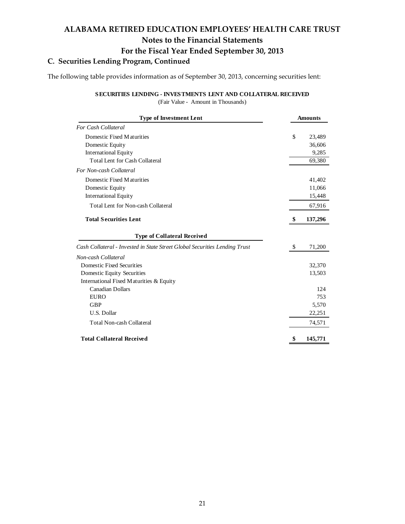## C. Securities Lending Program, Continued

The following table provides information as of September 30, 2013, concerning securities lent:

#### **SECURITIES LENDING - INVESTMENTS LENT AND COLLATERAL RECEIVED**

(Fair Value - Amount in Thousands)

| <b>Type of Investment Lent</b>                                             |    | <b>Amounts</b> |  |  |  |
|----------------------------------------------------------------------------|----|----------------|--|--|--|
| <b>For Cash Collateral</b>                                                 |    |                |  |  |  |
| Domestic Fixed Maturities                                                  | \$ | 23,489         |  |  |  |
| Domestic Equity                                                            |    | 36,606         |  |  |  |
| <b>International Equity</b>                                                |    | 9,285          |  |  |  |
| <b>Total Lent for Cash Collateral</b>                                      |    | 69,380         |  |  |  |
| For Non-cash Collateral                                                    |    |                |  |  |  |
| Domestic Fixed Maturities                                                  |    | 41,402         |  |  |  |
| Domestic Equity                                                            |    | 11,066         |  |  |  |
| <b>International Equity</b>                                                |    | 15,448         |  |  |  |
| <b>Total Lent for Non-cash Collateral</b>                                  |    | 67,916         |  |  |  |
| <b>Total Securities Lent</b>                                               | S  | 137,296        |  |  |  |
| <b>Type of Collateral Received</b>                                         |    |                |  |  |  |
| Cash Collateral - Invested in State Street Global Securities Lending Trust | \$ | 71,200         |  |  |  |
| Non-cash Collateral                                                        |    |                |  |  |  |
| Domestic Fixed Securities                                                  |    | 32,370         |  |  |  |
| Domestic Equity Securities                                                 |    | 13,503         |  |  |  |
| International Fixed Maturities & Equity                                    |    |                |  |  |  |
| <b>Canadian Dollars</b>                                                    |    | 124            |  |  |  |
| <b>EURO</b>                                                                |    | 753            |  |  |  |
| <b>GBP</b>                                                                 |    | 5,570          |  |  |  |
| U.S. Dollar                                                                |    | 22,251         |  |  |  |
| <b>Total Non-cash Collateral</b>                                           |    | 74,571         |  |  |  |
| <b>Total Collateral Received</b>                                           | \$ | 145,771        |  |  |  |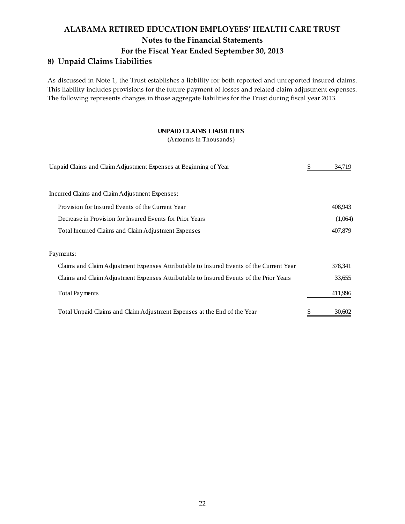# ALABAMA RETIRED EDUCATION EMPLOYEES' HEALTH CARE TRUST Notes to the Financial Statements For the Fiscal Year Ended September 30, 2013 8) Unpaid Claims Liabilities

As discussed in Note 1, the Trust establishes a liability for both reported and unreported insured claims. This liability includes provisions for the future payment of losses and related claim adjustment expenses. The following represents changes in those aggregate liabilities for the Trust during fiscal year 2013.

#### **UNPAID CLAIMS LIABILITIES**

(Amounts in Thousands)

| Unpaid Claims and Claim Adjustment Expenses at Beginning of Year                        | \$<br>34,719 |
|-----------------------------------------------------------------------------------------|--------------|
| Incurred Claims and Claim Adjustment Expenses:                                          |              |
| Provision for Insured Events of the Current Year                                        | 408,943      |
| Decrease in Provision for Insured Events for Prior Years                                | (1,064)      |
| Total Incurred Claims and Claim Adjustment Expenses                                     | 407,879      |
| Payments:                                                                               |              |
| Claims and Claim Adjustment Expenses Attributable to Insured Events of the Current Year | 378,341      |
| Claims and Claim Adjustment Expenses Attributable to Insured Events of the Prior Years  | 33,655       |
| <b>Total Payments</b>                                                                   | 411,996      |
| Total Unpaid Claims and Claim Adjustment Expenses at the End of the Year                | \$<br>30.602 |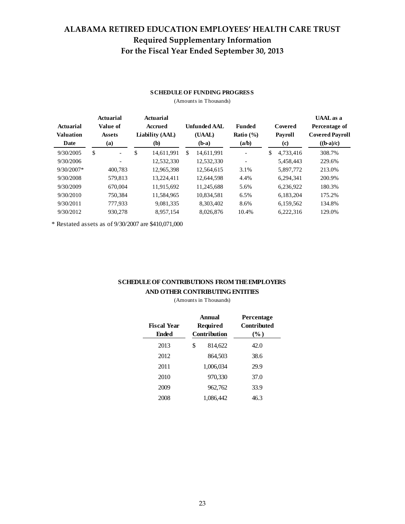# ALABAMA RETIRED EDUCATION EMPLOYEES' HEALTH CARE TRUST Required Supplementary Information For the Fiscal Year Ended September 30, 2013

#### **SCHEDULE OF FUNDING PROGRESS**

(Amounts in Thousands)

| Actuarial<br><b>Valuation</b><br>Date | Actuarial<br>Value of<br><b>Assets</b><br>(a) | Actuarial<br>Accrued<br>Liability (AAL)<br>(b) | <b>Unfunded AAL</b><br>(UAAL)<br>$(b-a)$ | <b>Funded</b><br>Ratio $(\% )$<br>(a/b) | Covered<br>Payroll<br>(c) | <b>UAAL</b> as a<br>Percentage of<br><b>Covered Payroll</b><br>$((b-a)/c)$ |  |
|---------------------------------------|-----------------------------------------------|------------------------------------------------|------------------------------------------|-----------------------------------------|---------------------------|----------------------------------------------------------------------------|--|
| 9/30/2005                             | \$<br>$\overline{\phantom{a}}$                | \$<br>14.611.991                               | \$<br>14.611.991                         |                                         | \$<br>4.733.416           | 308.7%                                                                     |  |
| 9/30/2006                             |                                               | 12,532,330                                     | 12.532.330                               |                                         | 5.458.443                 | 229.6%                                                                     |  |
| $9/30/2007*$                          | 400.783                                       | 12,965,398                                     | 12,564,615                               | 3.1%                                    | 5,897,772                 | 213.0%                                                                     |  |
| 9/30/2008                             | 579,813                                       | 13,224,411                                     | 12,644,598                               | 4.4%                                    | 6.294.341                 | 200.9%                                                                     |  |
| 9/30/2009                             | 670,004                                       | 11.915.692                                     | 11.245.688                               | 5.6%                                    | 6.236.922                 | 180.3%                                                                     |  |
| 9/30/2010                             | 750.384                                       | 11,584,965                                     | 10,834,581                               | 6.5%                                    | 6,183,204                 | 175.2%                                                                     |  |
| 9/30/2011                             | 777,933                                       | 9,081,335                                      | 8.303.402                                | 8.6%                                    | 6,159,562                 | 134.8%                                                                     |  |
| 9/30/2012                             | 930,278                                       | 8,957,154                                      | 8.026.876                                | 10.4%                                   | 6,222,316                 | 129.0%                                                                     |  |

\* Restated assets as of 9/30/2007 are \$410,071,000

#### **SCHEDULE OF CONTRIBUTIONS FROM THE EMPLOYERS AND OTHER CONTRIBUTING ENTITIES**

(Amounts in Thousands)

| <b>Fiscal Year</b><br><b>Ended</b> | Annual<br>Required<br>Contribution | Percentage<br><b>Contributed</b><br>$(\%)$ |  |  |
|------------------------------------|------------------------------------|--------------------------------------------|--|--|
| 2013                               | \$<br>814,622                      | 42.0                                       |  |  |
| 2012                               | 864,503                            | 38.6                                       |  |  |
| 2011                               | 1,006,034                          | 29.9                                       |  |  |
| 2010                               | 970,330                            | 37.0                                       |  |  |
| 2009                               | 962,762                            | 33.9                                       |  |  |
| 2008                               | 1.086.442                          | 46.3                                       |  |  |